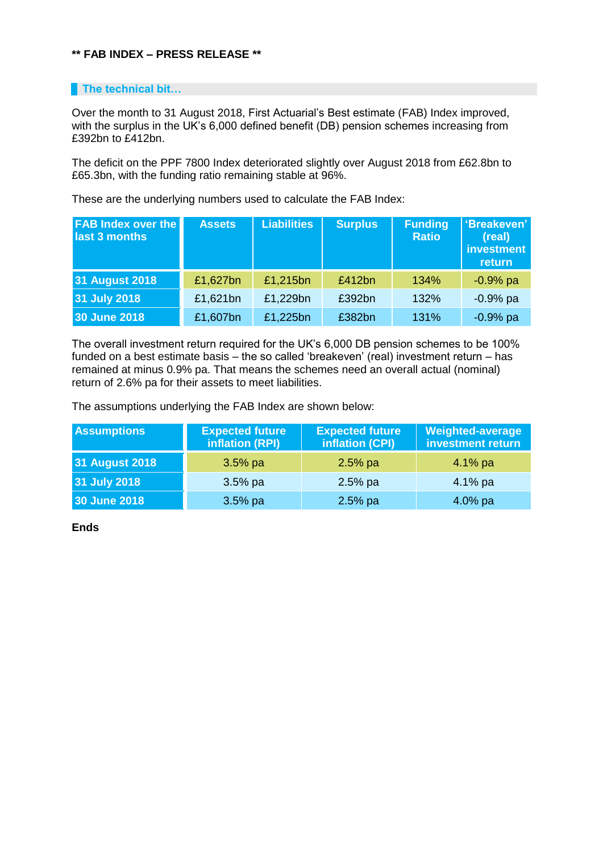## **\*\* FAB INDEX – PRESS RELEASE \*\***

## **The technical bit...**

Over the month to 31 August 2018, First Actuarial's Best estimate (FAB) Index improved, with the surplus in the UK's 6,000 defined benefit (DB) pension schemes increasing from £392bn to £412bn.

The deficit on the PPF 7800 Index deteriorated slightly over August 2018 from £62.8bn to £65.3bn, with the funding ratio remaining stable at 96%.

These are the underlying numbers used to calculate the FAB Index:

| <b>FAB Index over the</b><br>last 3 months | <b>Assets</b> | Liabilities | <b>Surplus</b> | <b>Funding</b><br><b>Ratio</b> | 'Breakeven'<br>(real)<br>investment<br>return |
|--------------------------------------------|---------------|-------------|----------------|--------------------------------|-----------------------------------------------|
| <b>31 August 2018</b>                      | £1,627bn      | £1,215bn    | £412bn         | 134%                           | $-0.9%$ pa                                    |
| 31 July 2018                               | £1,621bn      | £1,229bn    | £392bn         | 132%                           | $-0.9%$ pa                                    |
| 30 June 2018                               | £1,607bn      | £1,225bn    | £382bn         | 131%                           | $-0.9%$ pa                                    |

The overall investment return required for the UK's 6,000 DB pension schemes to be 100% funded on a best estimate basis – the so called 'breakeven' (real) investment return – has remained at minus 0.9% pa. That means the schemes need an overall actual (nominal) return of 2.6% pa for their assets to meet liabilities.

The assumptions underlying the FAB Index are shown below:

| <b>Assumptions</b>    | <b>Expected future</b><br>inflation (RPI) | <b>Expected future</b><br>inflation (CPI) | <b>Weighted-average</b><br>investment return |
|-----------------------|-------------------------------------------|-------------------------------------------|----------------------------------------------|
| <b>31 August 2018</b> | $3.5%$ pa                                 | $2.5%$ pa                                 | $4.1\%$ pa                                   |
| 31 July 2018          | $3.5%$ pa                                 | $2.5%$ pa                                 | $4.1\%$ pa                                   |
| 30 June 2018          | $3.5%$ pa                                 | $2.5%$ pa                                 | $4.0\%$ pa                                   |

**Ends**